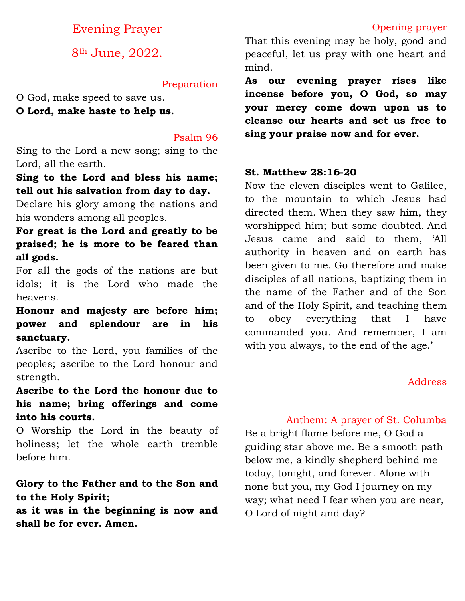# Evening Prayer

8th June, 2022.

#### Preparation

O God, make speed to save us. **O Lord, make haste to help us.**

#### Psalm 96

Sing to the Lord a new song; sing to the Lord, all the earth.

### **Sing to the Lord and bless his name; tell out his salvation from day to day.**

Declare his glory among the nations and his wonders among all peoples.

# **For great is the Lord and greatly to be praised; he is more to be feared than all gods.**

For all the gods of the nations are but idols; it is the Lord who made the heavens.

## **Honour and majesty are before him; power and splendour are in his sanctuary.**

Ascribe to the Lord, you families of the peoples; ascribe to the Lord honour and strength.

# **Ascribe to the Lord the honour due to his name; bring offerings and come into his courts.**

O Worship the Lord in the beauty of holiness; let the whole earth tremble before him.

# **Glory to the Father and to the Son and to the Holy Spirit;**

**as it was in the beginning is now and shall be for ever. Amen.**

That this evening may be holy, good and peaceful, let us pray with one heart and mind.

**As our evening prayer rises like incense before you, O God, so may your mercy come down upon us to cleanse our hearts and set us free to sing your praise now and for ever.**

#### **St. Matthew 28:16-20**

Now the eleven disciples went to Galilee, to the mountain to which Jesus had directed them. When they saw him, they worshipped him; but some doubted. And Jesus came and said to them, 'All authority in heaven and on earth has been given to me. Go therefore and make disciples of all nations, baptizing them in the name of the Father and of the Son and of the Holy Spirit, and teaching them to obey everything that I have commanded you. And remember, I am with you always, to the end of the age.'

### Address

### Anthem: A prayer of St. Columba

Be a bright flame before me, O God a guiding star above me. Be a smooth path below me, a kindly shepherd behind me today, tonight, and forever. Alone with none but you, my God I journey on my way; what need I fear when you are near, O Lord of night and day?

### Opening prayer